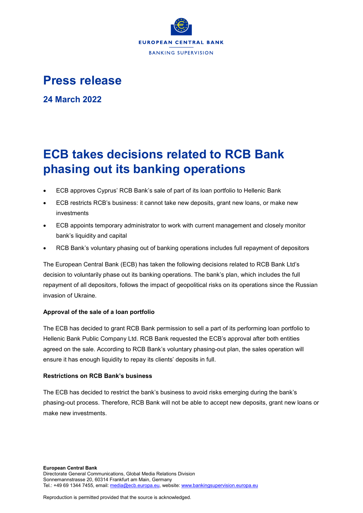

# **Press release**

**24 March 2022**

# **ECB takes decisions related to RCB Bank phasing out its banking operations**

- ECB approves Cyprus' RCB Bank's sale of part of its loan portfolio to Hellenic Bank
- ECB restricts RCB's business: it cannot take new deposits, grant new loans, or make new investments
- ECB appoints temporary administrator to work with current management and closely monitor bank's liquidity and capital
- RCB Bank's voluntary phasing out of banking operations includes full repayment of depositors

The European Central Bank (ECB) has taken the following decisions related to RCB Bank Ltd's decision to voluntarily phase out its banking operations. The bank's plan, which includes the full repayment of all depositors, follows the impact of geopolitical risks on its operations since the Russian invasion of Ukraine.

## **Approval of the sale of a loan portfolio**

The ECB has decided to grant RCB Bank permission to sell a part of its performing loan portfolio to Hellenic Bank Public Company Ltd. RCB Bank requested the ECB's approval after both entities agreed on the sale. According to RCB Bank's voluntary phasing-out plan, the sales operation will ensure it has enough liquidity to repay its clients' deposits in full.

### **Restrictions on RCB Bank's business**

The ECB has decided to restrict the bank's business to avoid risks emerging during the bank's phasing-out process. Therefore, RCB Bank will not be able to accept new deposits, grant new loans or make new investments.

Reproduction is permitted provided that the source is acknowledged.